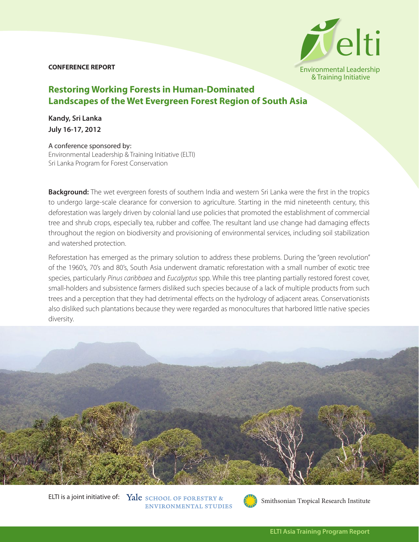## **CONFERENCE REPORT**



## **Restoring Working Forests in Human-Dominated Landscapes of the Wet Evergreen Forest Region of South Asia**

**Kandy, Sri Lanka July 16-17, 2012**

## A conference sponsored by:

Environmental Leadership & Training Initiative (ELTI) Sri Lanka Program for Forest Conservation

**Background:** The wet evergreen forests of southern India and western Sri Lanka were the first in the tropics to undergo large-scale clearance for conversion to agriculture. Starting in the mid nineteenth century, this deforestation was largely driven by colonial land use policies that promoted the establishment of commercial tree and shrub crops, especially tea, rubber and coffee. The resultant land use change had damaging effects throughout the region on biodiversity and provisioning of environmental services, including soil stabilization and watershed protection.

Reforestation has emerged as the primary solution to address these problems. During the "green revolution" of the 1960's, 70's and 80's, South Asia underwent dramatic reforestation with a small number of exotic tree species, particularly *Pinus caribbaea* and *Eucalyptus* spp. While this tree planting partially restored forest cover, small-holders and subsistence farmers disliked such species because of a lack of multiple products from such trees and a perception that they had detrimental effects on the hydrology of adjacent areas. Conservationists also disliked such plantations because they were regarded as monocultures that harbored little native species diversity.



ELTI is a joint initiative of: Yale SCHOOL OF FORESTRY & ENVIRONMENTAL STUDIES

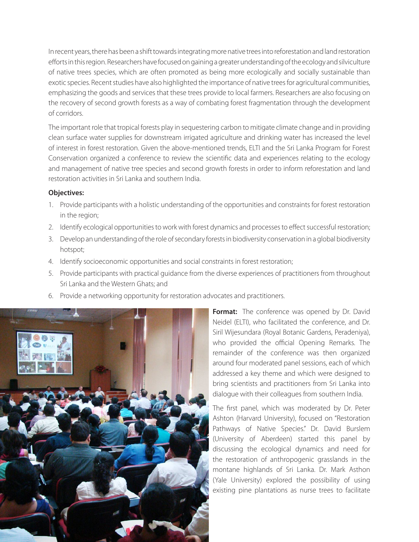In recent years, there has been a shift towards integrating more native trees into reforestation and land restoration efforts in this region. Researchers have focused on gaining a greater understanding of the ecology and silviculture of native trees species, which are often promoted as being more ecologically and socially sustainable than exotic species. Recent studies have also highlighted the importance of native trees for agricultural communities, emphasizing the goods and services that these trees provide to local farmers. Researchers are also focusing on the recovery of second growth forests as a way of combating forest fragmentation through the development of corridors.

The important role that tropical forests play in sequestering carbon to mitigate climate change and in providing clean surface water supplies for downstream irrigated agriculture and drinking water has increased the level of interest in forest restoration. Given the above-mentioned trends, ELTI and the Sri Lanka Program for Forest Conservation organized a conference to review the scientific data and experiences relating to the ecology and management of native tree species and second growth forests in order to inform reforestation and land restoration activities in Sri Lanka and southern India.

## **Objectives:**

- 1. Provide participants with a holistic understanding of the opportunities and constraints for forest restoration in the region;
- 2. Identify ecological opportunities to work with forest dynamics and processes to effect successful restoration;
- 3. Develop an understanding of the role of secondary forests in biodiversity conservation in a global biodiversity hotspot;
- 4. Identify socioeconomic opportunities and social constraints in forest restoration;
- 5. Provide participants with practical guidance from the diverse experiences of practitioners from throughout Sri Lanka and the Western Ghats; and
- 6. Provide a networking opportunity for restoration advocates and practitioners.



**Format:** The conference was opened by Dr. David Neidel (ELTI), who facilitated the conference, and Dr. Siril Wijesundara (Royal Botanic Gardens, Peradeniya), who provided the official Opening Remarks. The remainder of the conference was then organized around four moderated panel sessions, each of which addressed a key theme and which were designed to bring scientists and practitioners from Sri Lanka into dialogue with their colleagues from southern India.

The first panel, which was moderated by Dr. Peter Ashton (Harvard University), focused on "Restoration Pathways of Native Species." Dr. David Burslem (University of Aberdeen) started this panel by discussing the ecological dynamics and need for the restoration of anthropogenic grasslands in the montane highlands of Sri Lanka. Dr. Mark Asthon (Yale University) explored the possibility of using existing pine plantations as nurse trees to facilitate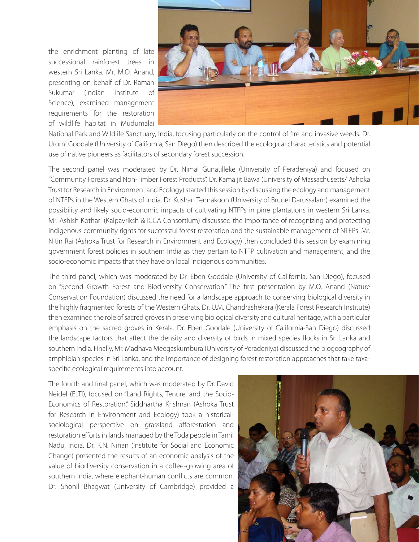the enrichment planting of late successional rainforest trees in western Sri Lanka. Mr. M.O. Anand, presenting on behalf of Dr. Raman Sukumar (Indian Institute of Science), examined management requirements for the restoration of wildlife habitat in Mudumalai



National Park and Wildlife Sanctuary, India, focusing particularly on the control of fire and invasive weeds. Dr. Uromi Goodale (University of California, San Diego) then described the ecological characteristics and potential use of native pioneers as facilitators of secondary forest succession.

The second panel was moderated by Dr. Nimal Gunatilleke (University of Peradeniya) and focused on "Community Forests and Non-Timber Forest Products". Dr. Kamaljit Bawa (University of Massachusetts/ Ashoka Trust for Research in Environment and Ecology) started this session by discussing the ecology and management of NTFPs in the Western Ghats of India. Dr. Kushan Tennakoon (University of Brunei Darussalam) examined the possibility and likely socio-economic impacts of cultivating NTFPs in pine plantations in western Sri Lanka. Mr. Ashish Kothari (Kalpavriksh & ICCA Consortium) discussed the importance of recognizing and protecting indigenous community rights for successful forest restoration and the sustainable management of NTFPs. Mr. Nitin Rai (Ashoka Trust for Research in Environment and Ecology) then concluded this session by examining government forest policies in southern India as they pertain to NTFP cultivation and management, and the socio-economic impacts that they have on local indigenous communities.

The third panel, which was moderated by Dr. Eben Goodale (University of California, San Diego), focused on "Second Growth Forest and Biodiversity Conservation." The first presentation by M.O. Anand (Nature Conservation Foundation) discussed the need for a landscape approach to conserving biological diversity in the highly fragmented forests of the Western Ghats. Dr. U.M. Chandrashekara (Kerala Forest Research Institute) then examined the role of sacred groves in preserving biological diversity and cultural heritage, with a particular emphasis on the sacred groves in Kerala. Dr. Eben Goodale (University of California-San Diego) discussed the landscape factors that affect the density and diversity of birds in mixed species flocks in Sri Lanka and southern India. Finally, Mr. Madhava Meegaskumbura (University of Peradeniya) discussed the biogeography of amphibian species in Sri Lanka, and the importance of designing forest restoration approaches that take taxaspecific ecological requirements into account.

The fourth and final panel, which was moderated by Dr. David Neidel (ELTI), focused on "Land Rights, Tenure, and the Socio-Economics of Restoration." Siddhartha Krishnan (Ashoka Trust for Research in Environment and Ecology) took a historicalsociological perspective on grassland afforestation and restoration efforts in lands managed by the Toda people in Tamil Nadu, India. Dr. K.N. Ninan (Institute for Social and Economic Change) presented the results of an economic analysis of the value of biodiversity conservation in a coffee-growing area of southern India, where elephant-human conflicts are common. Dr. Shonil Bhagwat (University of Cambridge) provided a